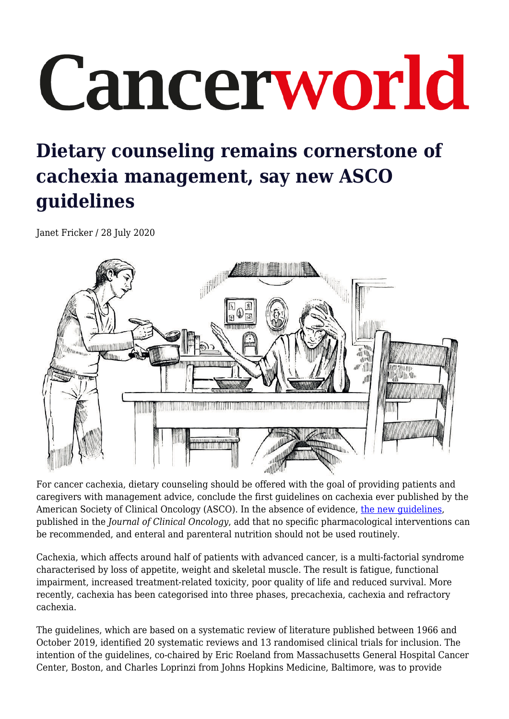## Cancerworld

## **Dietary counseling remains cornerstone of cachexia management, say new ASCO guidelines**

Janet Fricker / 28 July 2020



For cancer cachexia, dietary counseling should be offered with the goal of providing patients and caregivers with management advice, conclude the first guidelines on cachexia ever published by the American Society of Clinical Oncology (ASCO). In the absence of evidence, [the new guidelines,](https://ascopubs.org/doi/full/10.1200/JCO.20.00611) published in the *Journal of Clinical Oncology*, add that no specific pharmacological interventions can be recommended, and enteral and parenteral nutrition should not be used routinely.

Cachexia, which affects around half of patients with advanced cancer, is a multi-factorial syndrome characterised by loss of appetite, weight and skeletal muscle. The result is fatigue, functional impairment, increased treatment-related toxicity, poor quality of life and reduced survival. More recently, cachexia has been categorised into three phases, precachexia, cachexia and refractory cachexia.

The guidelines, which are based on a systematic review of literature published between 1966 and October 2019, identified 20 systematic reviews and 13 randomised clinical trials for inclusion. The intention of the guidelines, co-chaired by Eric Roeland from Massachusetts General Hospital Cancer Center, Boston, and Charles Loprinzi from Johns Hopkins Medicine, Baltimore, was to provide